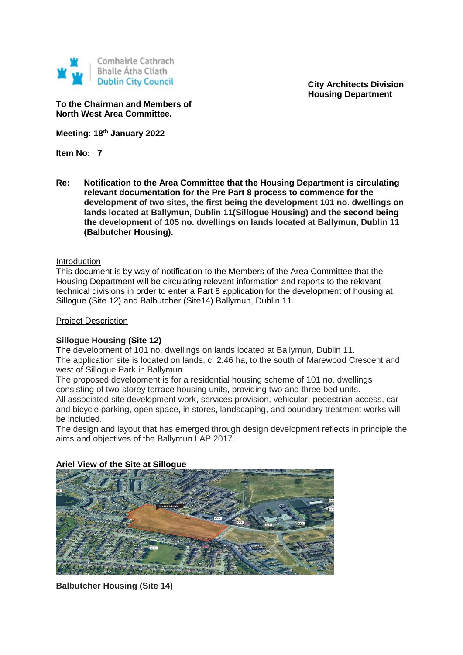

**City Architects Division Housing Department**

**To the Chairman and Members of North West Area Committee.**

**Meeting: 18th January 2022**

**Item No: 7**

**Re: Notification to the Area Committee that the Housing Department is circulating relevant documentation for the Pre Part 8 process to commence for the development of two sites, the first being the development 101 no. dwellings on lands located at Ballymun, Dublin 11(Sillogue Housing) and the second being the development of 105 no. dwellings on lands located at Ballymun, Dublin 11 (Balbutcher Housing).** 

### **Introduction**

This document is by way of notification to the Members of the Area Committee that the Housing Department will be circulating relevant information and reports to the relevant technical divisions in order to enter a Part 8 application for the development of housing at Sillogue (Site 12) and Balbutcher (Site14) Ballymun, Dublin 11.

### Project Description

## **Sillogue Housing (Site 12)**

The development of 101 no. dwellings on lands located at Ballymun, Dublin 11. The application site is located on lands, c. 2.46 ha, to the south of Marewood Crescent and west of Sillogue Park in Ballymun.

The proposed development is for a residential housing scheme of 101 no. dwellings consisting of two-storey terrace housing units, providing two and three bed units. All associated site development work, services provision, vehicular, pedestrian access, car and bicycle parking, open space, in stores, landscaping, and boundary treatment works will be included.

The design and layout that has emerged through design development reflects in principle the aims and objectives of the Ballymun LAP 2017.

## **Ariel View of the Site at Sillogue**



**Balbutcher Housing (Site 14)**